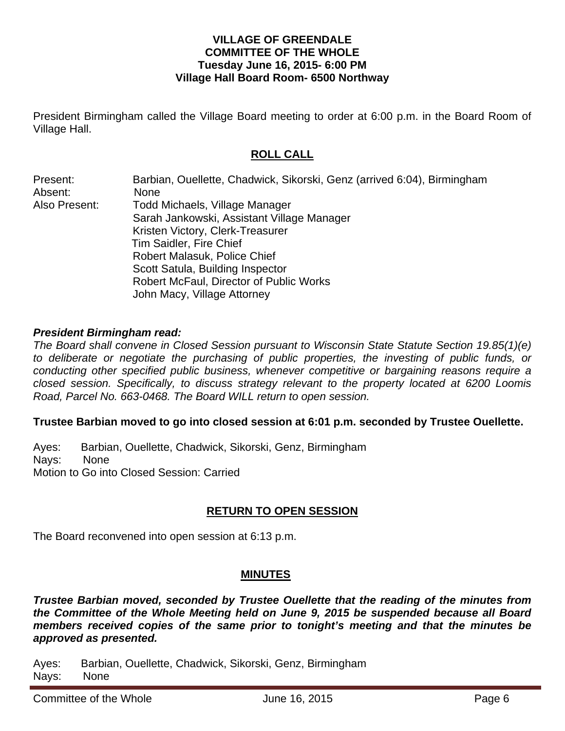### **VILLAGE OF GREENDALE COMMITTEE OF THE WHOLE Tuesday June 16, 2015- 6:00 PM Village Hall Board Room- 6500 Northway**

President Birmingham called the Village Board meeting to order at 6:00 p.m. in the Board Room of Village Hall.

# **ROLL CALL**

| Present:      | Barbian, Ouellette, Chadwick, Sikorski, Genz (arrived 6:04), Birmingham |
|---------------|-------------------------------------------------------------------------|
| Absent:       | <b>None</b>                                                             |
| Also Present: | <b>Todd Michaels, Village Manager</b>                                   |
|               | Sarah Jankowski, Assistant Village Manager                              |
|               | Kristen Victory, Clerk-Treasurer                                        |
|               | <b>Tim Saidler, Fire Chief</b>                                          |
|               | <b>Robert Malasuk, Police Chief</b>                                     |
|               | Scott Satula, Building Inspector                                        |
|               | Robert McFaul, Director of Public Works                                 |
|               | John Macy, Village Attorney                                             |

#### *President Birmingham read:*

*The Board shall convene in Closed Session pursuant to Wisconsin State Statute Section 19.85(1)(e)*  to deliberate or negotiate the purchasing of public properties, the investing of public funds, or *conducting other specified public business, whenever competitive or bargaining reasons require a closed session. Specifically, to discuss strategy relevant to the property located at 6200 Loomis Road, Parcel No. 663-0468. The Board WILL return to open session.* 

#### **Trustee Barbian moved to go into closed session at 6:01 p.m. seconded by Trustee Ouellette.**

Ayes: Barbian, Ouellette, Chadwick, Sikorski, Genz, Birmingham Nays: None Motion to Go into Closed Session: Carried

## **RETURN TO OPEN SESSION**

The Board reconvened into open session at 6:13 p.m.

## **MINUTES**

*Trustee Barbian moved, seconded by Trustee Ouellette that the reading of the minutes from the Committee of the Whole Meeting held on June 9, 2015 be suspended because all Board members received copies of the same prior to tonight's meeting and that the minutes be approved as presented.* 

Ayes: Barbian, Ouellette, Chadwick, Sikorski, Genz, Birmingham Nays: None

Committee of the Whole **Committee of the Whole** June 16, 2015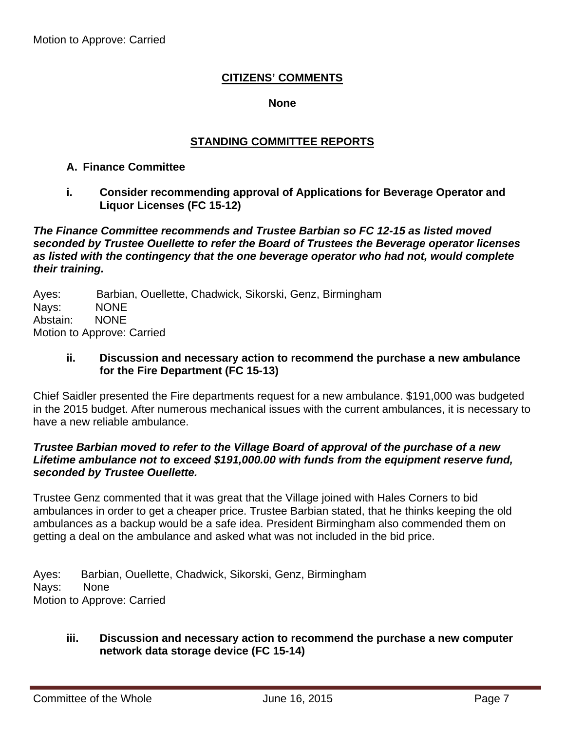## **CITIZENS' COMMENTS**

#### **None**

### **STANDING COMMITTEE REPORTS**

#### **A. Finance Committee**

**i. Consider recommending approval of Applications for Beverage Operator and Liquor Licenses (FC 15-12)** 

*The Finance Committee recommends and Trustee Barbian so FC 12-15 as listed moved seconded by Trustee Ouellette to refer the Board of Trustees the Beverage operator licenses as listed with the contingency that the one beverage operator who had not, would complete their training.* 

Ayes: Barbian, Ouellette, Chadwick, Sikorski, Genz, Birmingham Nays: NONE Abstain: NONE Motion to Approve: Carried

#### **ii. Discussion and necessary action to recommend the purchase a new ambulance for the Fire Department (FC 15-13)**

Chief Saidler presented the Fire departments request for a new ambulance. \$191,000 was budgeted in the 2015 budget. After numerous mechanical issues with the current ambulances, it is necessary to have a new reliable ambulance.

#### *Trustee Barbian moved to refer to the Village Board of approval of the purchase of a new Lifetime ambulance not to exceed \$191,000.00 with funds from the equipment reserve fund, seconded by Trustee Ouellette.*

Trustee Genz commented that it was great that the Village joined with Hales Corners to bid ambulances in order to get a cheaper price. Trustee Barbian stated, that he thinks keeping the old ambulances as a backup would be a safe idea. President Birmingham also commended them on getting a deal on the ambulance and asked what was not included in the bid price.

Ayes: Barbian, Ouellette, Chadwick, Sikorski, Genz, Birmingham Nays: None Motion to Approve: Carried

#### **iii. Discussion and necessary action to recommend the purchase a new computer network data storage device (FC 15-14)**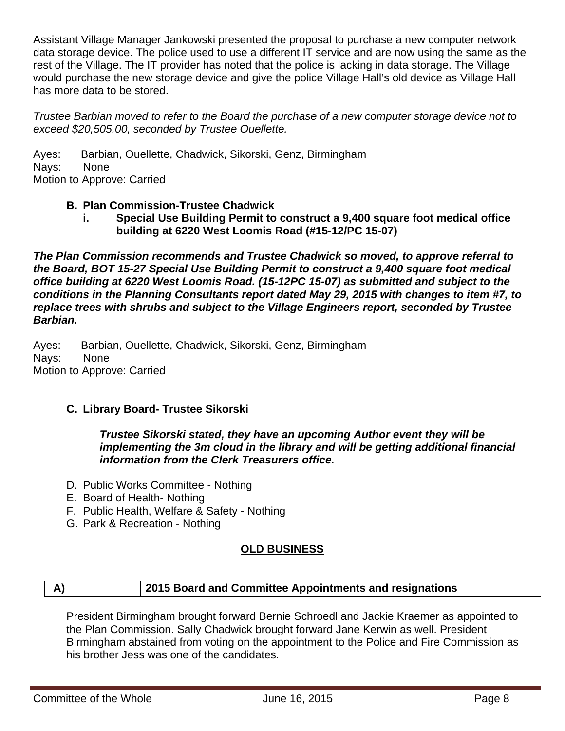Assistant Village Manager Jankowski presented the proposal to purchase a new computer network data storage device. The police used to use a different IT service and are now using the same as the rest of the Village. The IT provider has noted that the police is lacking in data storage. The Village would purchase the new storage device and give the police Village Hall's old device as Village Hall has more data to be stored.

*Trustee Barbian moved to refer to the Board the purchase of a new computer storage device not to exceed \$20,505.00, seconded by Trustee Ouellette.* 

Ayes: Barbian, Ouellette, Chadwick, Sikorski, Genz, Birmingham Nays: None Motion to Approve: Carried

## **B. Plan Commission-Trustee Chadwick**

**i. Special Use Building Permit to construct a 9,400 square foot medical office building at 6220 West Loomis Road (#15-12/PC 15-07)** 

*The Plan Commission recommends and Trustee Chadwick so moved, to approve referral to the Board, BOT 15-27 Special Use Building Permit to construct a 9,400 square foot medical office building at 6220 West Loomis Road. (15-12PC 15-07) as submitted and subject to the conditions in the Planning Consultants report dated May 29, 2015 with changes to item #7, to replace trees with shrubs and subject to the Village Engineers report, seconded by Trustee Barbian.* 

Ayes: Barbian, Ouellette, Chadwick, Sikorski, Genz, Birmingham Nays: None Motion to Approve: Carried

## **C. Library Board- Trustee Sikorski**

*Trustee Sikorski stated, they have an upcoming Author event they will be implementing the 3m cloud in the library and will be getting additional financial information from the Clerk Treasurers office.* 

- D. Public Works Committee Nothing
- E. Board of Health- Nothing
- F. Public Health, Welfare & Safety Nothing
- G. Park & Recreation Nothing

## **OLD BUSINESS**

# **A) 2015 Board and Committee Appointments and resignations**

President Birmingham brought forward Bernie Schroedl and Jackie Kraemer as appointed to the Plan Commission. Sally Chadwick brought forward Jane Kerwin as well. President Birmingham abstained from voting on the appointment to the Police and Fire Commission as his brother Jess was one of the candidates.